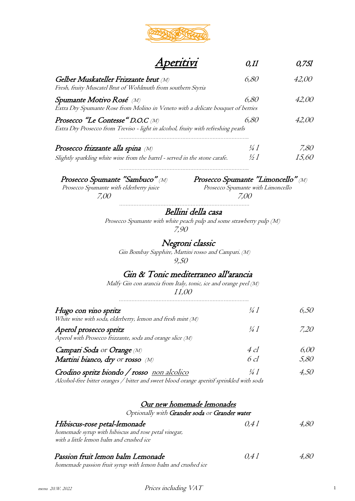

# **Aperitivi** 0,11 0,751

| Gelber Muskateller Frizzante brut (M)<br>Fresh, fruity Muscatel Brut of Wohlmuth from southern Styria                 | 6.80            | 42.OO        |
|-----------------------------------------------------------------------------------------------------------------------|-----------------|--------------|
| Spumante Motivo Rosé (M)<br>Extra Dry Spumante Rose from Molino in Veneto with a delicate bouquet of berries          | 6,80            | <i>42.00</i> |
| Prosecco "Le Contesse" D.O.C (M)<br>Extra Dry Prosecco from Treviso - light in alcohol, fruity with refreshing pearls | 6.80            | 42.OO        |
| Prosecco frizzante alla spina (M)                                                                                     | $\frac{1}{4}$   | 7,80         |
| Slightly sparkling white wine from the barrel - served in the stone carafe.                                           | $\frac{1}{2}$ 1 | 15.60        |

Prosecco Spumante "Sambuco"  $\langle M \rangle$  Prosecco Spumante "Limoncello"  $\langle M \rangle$ <br>Prosecco Spumante with elderberry juice Prosecco Spumante with Limoncello

Prosecco Spumante with elderberry juice 7,00 7,00

……………………………………………………………………….

#### Bellini della casa

……………………………………………………………………….

 Prosecco Spumante with white peach pulp and some strawberry pulp (M) 7,90

#### Negroni classic

 Gin Bombay Sapphire, Martini rosso and Campari. (M) 9,50

#### Gin & Tonic mediterraneo all'arancia

Malfy Gin con arancia from Italy, tonic, ice and orange peel (M)

 11,00 ……………………………………………………………………….

| Hugo con vino spritz                                                                | $\frac{1}{4}$ | 6.50 |
|-------------------------------------------------------------------------------------|---------------|------|
| White wine with soda, elderberry, lemon and fresh mint (M)                          |               |      |
| Aperol prosecco spritz<br>Aperol with Prosecco frizzante, soda and orange slice (M) | 14 1          | 7.20 |
| Campari Soda or Orange (M)                                                          | $4$ cl        | 6.00 |
| Martini bianco, dry or rosso (M)                                                    | 6cl           | 5,80 |
| Crodino spritz biondo / rosso non alcolico                                          | $\frac{1}{4}$ | 50   |

Alcohol-free bitter oranges / bitter and sweet blood orange aperitif sprinkled with soda

#### Our new homemade lemonades

Optionally with Grander soda or Grander water

| Hibiscus-rose petal-lemonade<br>homemade syrup with hibiscus and rose petal vinegar, | 0.41 | 4.80 |
|--------------------------------------------------------------------------------------|------|------|
| with a little lemon balm and crushed ice                                             |      |      |
| Passion fruit lemon balm Lemonade                                                    | 0.41 | 4.8O |
| homemade passion fruit syrup with lemon balm and crushed ice                         |      |      |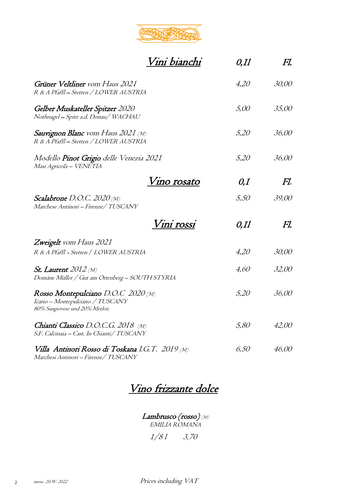

|                                                                                                          | Vini bianchi       | $0,$ II | FI.   |
|----------------------------------------------------------------------------------------------------------|--------------------|---------|-------|
| Grüner Veltliner vom Haus 2021<br>R & A Pfaffl - Stetten / LOWER AUSTRIA                                 |                    | 4,20    | 30,00 |
| Gelber Muskateller Spitzer 2020<br>Nothnagel - Spitz a.d. Donau/ WACHAU                                  |                    | 5,00    | 35,00 |
| <b>Sauvignon Blanc</b> vom Haus 2021 (M)<br>R & A Pfaffl - Stetten / LOWER AUSTRIA                       |                    | 5,20    | 36,00 |
| <i>Modello <b>Pinot Grigio</b> delle Venezia 2021</i><br>Masi Agricola - VENETIA                         |                    | 5,20    | 36,00 |
|                                                                                                          | <u>Vino rosato</u> | 0,I     | Fl.   |
| <b>Scalabrone</b> D.O.C. 2020 (M)<br>Marchese Antinori - Firenze/ TUSCANY                                |                    | 5,50    | 39,00 |
|                                                                                                          | Vini <u>rossi</u>  | $0,$ II | Fl.   |
| <b>Zweigelt</b> vom Haus 2021                                                                            |                    |         |       |
| R & A Pfaffl - Stetten / LOWER AUSTRIA                                                                   |                    | 4,20    | 30,00 |
| <b><i>St. Laurent 2012 (M)</i></b><br>Domäne Müller / Gut am Ottenberg – SOUTH STYRIA                    |                    | 4,60    | 32,00 |
| Rosso Montepulciano D.O.C 2020 (M)<br>Icario - Montepulciano / TUSCANY<br>80% Sangiovese und 20% Merlot; |                    | 5,20    | 36,00 |
| Chianti Classico D.O.C.G. 2018 (M)<br>S.F. Calcinaia – Cast. In Chianti/ TUSCANY                         |                    | 5,80    | 42,00 |
| Villa Antinori Rosso di Toskana I.G.T. 2019 (M)                                                          |                    | 6,50    | 46,00 |

Marchesi Antinori – Firenze/ TUSCANY

## Vino frizzante dolce

Lambrusco (rosso) (M) EMILIA ROMANA

 $1/81$  3,70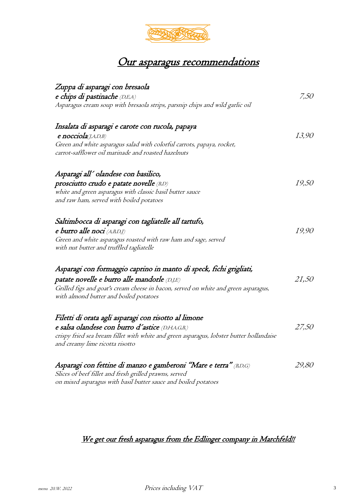

## Our asparagus recommendations

| Zuppa di asparagi con bresaola                                                                                                |              |
|-------------------------------------------------------------------------------------------------------------------------------|--------------|
| e chips di pastinache (D,E,A)                                                                                                 | 7,50         |
| Asparagus cream soup with bresaola strips, parsnip chips and wild garlic oil                                                  |              |
| Insalata di asparagi e carote con rucola, papaya                                                                              |              |
| $e$ nocciola(J,A,D,B)                                                                                                         | 13,90        |
| Green and white asparagus salad with colorful carrots, papaya, rocket,<br>carrot-safflower oil marinade and roasted hazelnuts |              |
| Asparagi all' olandese con basilico,                                                                                          |              |
| prosciutto crudo e patate novelle (B,D)                                                                                       | <i>19,50</i> |
| white and green asparagus with classic basil butter sauce                                                                     |              |
| and raw ham, served with boiled potatoes                                                                                      |              |
| Saltimbocca di asparagi con tagliatelle all tartufo,                                                                          |              |
| e burro alle noci (A,B,D,J)                                                                                                   | 19,90        |
| Green and white asparagus roasted with raw ham and sage, served                                                               |              |
| with nut butter and truffled tagliatelle                                                                                      |              |
| Asparagi con formaggio caprino in manto di speck, fichi grigliati,                                                            |              |
| patate novelle e burro alle mandorle (D.J.E)                                                                                  | 21,50        |
| Grilled figs and goat's cream cheese in bacon, served on white and green asparagus,                                           |              |
| with almond butter and boiled potatoes                                                                                        |              |
| Filetti di orata agli asparagi con risotto al limone                                                                          |              |
| e salsa olandese con burro d'astice (D,H,A,G,B,)                                                                              | 27,50        |
| crispy fried sea bream fillet with white and green asparagus, lobster butter hollandaise<br>and creamy lime ricotta risotto   |              |
| Asparagi con fettine di manzo e gamberoni "Mare e terra" (BD,G)                                                               | 29,80        |
| Slices of beef fillet and fresh grilled prawns, served                                                                        |              |

## We get our fresh asparagus from the Edlinger company in Marchfeld!!

on mixed asparagus with basil butter sauce and boiled potatoes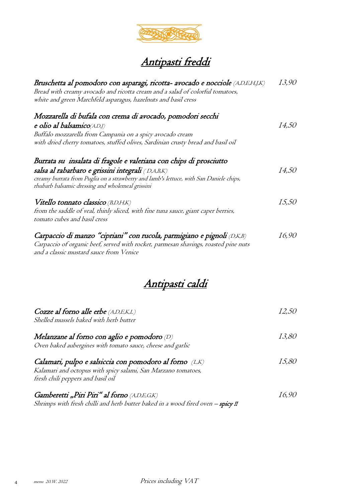

| Bruschetta al pomodoro con asparagi, ricotta- avocado e nocciole (A,D,E,H,J,K)<br>Bread with creamy avocado and ricotta cream and a salad of colorful tomatoes,<br>white and green Marchfeld asparagus, hazelnuts and basil cress                                     | 13,90        |
|-----------------------------------------------------------------------------------------------------------------------------------------------------------------------------------------------------------------------------------------------------------------------|--------------|
| Mozzarella di bufala con crema di avocado, pomodori secchi<br>e olio al balsamico(A,D,J)<br>Buffalo mozzarella from Campania on a spicy avocado cream<br>with dried cherry tomatoes, stuffed olives, Sardinian crusty bread and basil oil                             | <i>14,50</i> |
| Burrata su insalata di fragole e valeriana con chips di prosciutto<br>salsa al rabarbaro e grissini integrali (D,A,B,K)<br>creamy burrata from Puglia on a strawberry and lamb's lettuce, with San Daniele chips,<br>rhubarb balsamic dressing and wholemeal grissini | <i>14,50</i> |
| Vitello tonnato classico (B,D,H,K)<br>from the saddle of veal, thinly sliced, with fine tuna sauce, giant caper berries,<br>tomato cubes and basil cress                                                                                                              | 15,50        |
| Carpaccio di manzo "cipriani" con rucola, parmigiano e pignoli (D,K,B)<br>Carpaccio of organic beef, served with rocket, parmesan shavings, roasted pine nuts<br>and a classic mustard sauce from Venice                                                              | <i>16,90</i> |

## Antipasti caldi

| Cozze al forno alle erbe (A,D,E,K,L)<br>Shelled mussels baked with herb butter                                                                                | 12.50        |
|---------------------------------------------------------------------------------------------------------------------------------------------------------------|--------------|
| Melanzane al forno con aglio e pomodoro (D)<br>Oven baked aubergines with tomato sauce, cheese and garlic                                                     | <i>13,80</i> |
| Calamari, pulpo e salsiccia con pomodoro al forno (L,K)<br>Kalamari and octopus with spicy salami, San Marzano tomatoes,<br>fresh chili peppers and basil oil | 15.80        |
| Gamberetti "Piri Piri" al forno (A,D,E,G,K)<br>Shrimps with fresh chilli and herb butter baked in a wood fired oven - spicy !!                                | 16.90        |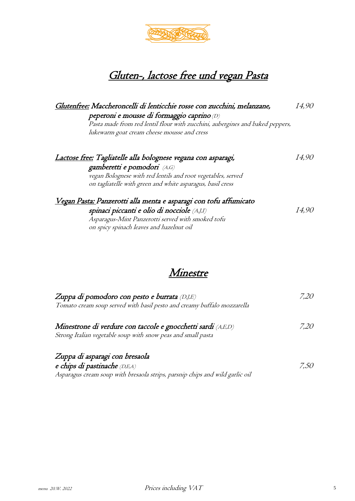

## Gluten-, lactose free und vegan Pasta

| Glutenfree: Maccheroncelli di lenticchie rosse con zucchini, melanzane,       | <i>14,90</i>  |
|-------------------------------------------------------------------------------|---------------|
| peperoni e mousse di formaggio caprino (D)                                    |               |
| Pasta made from red lentil flour with zucchini, aubergines and baked peppers, |               |
| lukewarm goat cream cheese mousse and cress                                   |               |
|                                                                               |               |
| Lactose free: Tagliatelle alla bolognese vegana con asparagi,                 | <i>14,90</i>  |
| gamberetti e pomodori (A,G)                                                   |               |
| vegan Bolognese with red lentils and root vegetables, served                  |               |
| on tagliatelle with green and white asparagus, basil cress                    |               |
| <u>Vegan Pasta: Panzerotti alla menta e asparagi con tofu affumicato</u>      |               |
| spinaci piccanti e olio di nocciole (A,J,I)                                   | <i>I</i> 4,90 |
| Asparagus-Mint Panzerotti served with smoked tofu                             |               |
| on spicy spinach leaves and hazelnut oil                                      |               |

#### Minestre

| Zuppa di pomodoro con pesto e burrata (D.J.E)                                | 7,20 |
|------------------------------------------------------------------------------|------|
| Tomato cream soup served with basil pesto and creamy buffalo mozzarella      |      |
|                                                                              |      |
| Minestrone di verdure con taccole e gnocchetti sardi (A,E,D)                 | 7,20 |
| Strong Italian vegetable soup with snow peas and small pasta                 |      |
|                                                                              |      |
| Zuppa di asparagi con bresaola                                               |      |
| e chips di pastinache (D.E.A)                                                | 7.50 |
| Asparagus cream soup with bresaola strips, parsnip chips and wild garlic oil |      |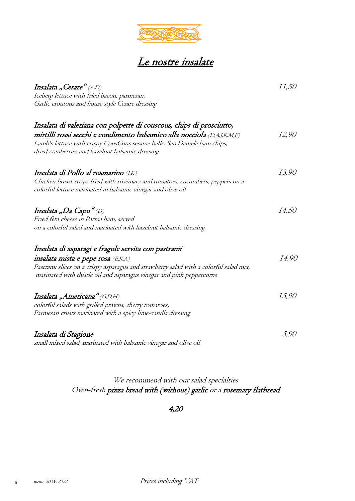

## Le nostre insalate

| Insalata "Cesare" (A,D)                                                               | 11,50 |
|---------------------------------------------------------------------------------------|-------|
| Iceberg lettuce with fried bacon, parmesan,                                           |       |
| Garlic croutons and house style Cesare dressing                                       |       |
| Insalata di valeriana con polpette di couscous, chips di prosciutto,                  |       |
| mirtilli rossi secchi e condimento balsamico alla nocciola (D,A,J,K,M,F)              | 12,90 |
| Lamb's lettuce with crispy CousCous sesame balls, San Daniele ham chips,              |       |
| dried cranberries and hazelnut balsamic dressing                                      |       |
| Insalata di Pollo al rosmarino (J,K)                                                  | 13,90 |
| Chicken breast strips fried with rosemary and tomatoes, cucumbers, peppers on a       |       |
| colorful lettuce marinated in balsamic vinegar and olive oil                          |       |
| Insalata "Da Capo" $(D)$                                                              | 14,50 |
| Fried feta cheese in Parma ham, served                                                |       |
| on a colorful salad and marinated with hazelnut balsamic dressing                     |       |
| Insalata di asparagi e fragole servita con pastrami                                   |       |
| insalata mista e pepe rosa (E,K,A)                                                    | 14,90 |
| Pastrami slices on a crispy asparagus and strawberry salad with a colorful salad mix, |       |
| marinated with thistle oil and asparagus vinegar and pink peppercorns                 |       |
| Insalata "Americana" (G,D,H)                                                          | 15,90 |
| colorful salads with grilled prawns, cherry tomatoes,                                 |       |
| Parmesan crusts marinated with a spicy lime-vanilla dressing                          |       |
| Insalata di Stagione                                                                  | 5,90  |
| small mixed salad, marinated with balsamic vinegar and olive oil                      |       |

#### We recommend with our salad specialties Oven-fresh pizza bread with (without) garlic or a rosemary flatbread

4,20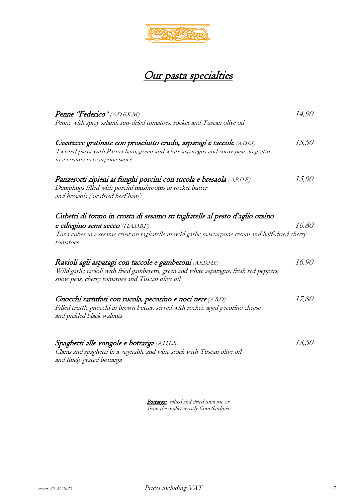

## Our pasta specialties

| <b>Penne "Federico"</b> (A,D,E,K,M)<br>Penne with spicy salami, sun-dried tomatoes, rocket and Tuscan olive oil                                                                                                                    | 14,90        |
|------------------------------------------------------------------------------------------------------------------------------------------------------------------------------------------------------------------------------------|--------------|
| Casarecce gratinate con prosciutto crudo, asparagi e taccole (A,D,B,I)<br>Twisted pasta with Parma ham, green and white asparagus and snow peas au gratin<br>in a creamy mascarpone sauce                                          | <i>15,50</i> |
| Panzerotti ripieni ai funghi porcini con rucola e bresaola (A,B,D,E)<br>Dumplings filled with porcini mushrooms in rocket butter<br>and bresaola (air dried beef ham)                                                              | 15,90        |
| Cubetti di tonno in crosta di sesamo su tagliatelle al pesto d'aglio orsino<br>e ciliegino semi secco (H,A,D,B,F)<br>Tuna cubes in a sesame crust on tagliatelle in wild garlic mascarpone cream and half-dried cherry<br>tomatoes | <i>16,80</i> |
| Ravioli agli asparagi con taccole e gamberoni (A,B,D,H,E)<br>Wild garlic ravioli with fried gamberetti, green and white asparagus, fresh red peppers,<br>snow peas, cherry tomatoes and Tuscan olive oil                           | 16,90        |
| Gnocchi tartufati con rucola, pecorino e noci nere (A,B,D)<br>Filled truffle gnocchi in brown butter, served with rocket, aged pecorino cheese<br>and pickled black walnuts                                                        | 17,80        |
| Spaghetti alle vongole e bottarga (A,H,L,B)<br>Clams and spaghetti in a vegetable and wine stock with Tuscan olive oil<br>and finely grated bottarga                                                                               | 18,50        |

Bottarga: salted and dried tuna roe or from the mullet mostly from Sardinia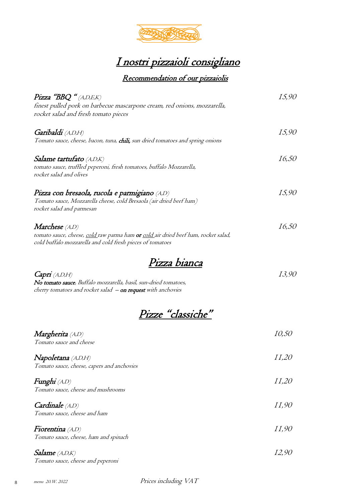

## I nostri pizzaioli consigliano

#### Recommendation of our pizzaiolis

| $Pizz$ a "BBQ " $(A,D,E,K)$                                                                                                                                            | 15,90        |
|------------------------------------------------------------------------------------------------------------------------------------------------------------------------|--------------|
| finest pulled pork on barbecue mascarpone cream, red onions, mozzarella,                                                                                               |              |
| rocket salad and fresh tomato pieces                                                                                                                                   |              |
|                                                                                                                                                                        |              |
| <b>Garibaldi</b> (A,D,H)                                                                                                                                               | 15,90        |
| Tomato sauce, cheese, bacon, tuna, <b>chili,</b> sun dried tomatoes and spring onions                                                                                  |              |
| <b>Salame tartufato</b> (A,D,K)                                                                                                                                        | 16,50        |
| tomato sauce, truffled peperoni, fresh tomatoes, buffalo Mozzarella,                                                                                                   |              |
| rocket salad and olives                                                                                                                                                |              |
| Pizza con bresaola, rucola e parmigiano (A,D)                                                                                                                          | 15,90        |
| Tomato sauce, Mozzarella cheese, cold Bresaola (air dried beef ham)                                                                                                    |              |
| rocket salad and parmesan                                                                                                                                              |              |
| <b>Marchese</b> (A,D)                                                                                                                                                  | <i>16,50</i> |
|                                                                                                                                                                        |              |
| tomato sauce, cheese, <u>cold r</u> aw parma ham <b>or</b> <u>cold a</u> ir dried beef ham, rocket salad,<br>cold buffalo mozzarella and cold fresh pieces of tomatoes |              |
|                                                                                                                                                                        |              |
| Pizza bianca                                                                                                                                                           |              |
| Capri(A,D,H)                                                                                                                                                           | 13,90        |
| No tomato sauce, Buffalo mozzarella, basil, sun-dried tomatoes,                                                                                                        |              |
| cherry tomatoes and rocket salad - on request with anchovies                                                                                                           |              |
|                                                                                                                                                                        |              |
| <u>Pizze "classiche"</u>                                                                                                                                               |              |
| Margherita (A,D)                                                                                                                                                       | <i>10,50</i> |
| Tomato sauce and cheese                                                                                                                                                |              |
| <b>Napoletana</b> (A,D,H)                                                                                                                                              | <i>II,20</i> |
| Tomato sauce, cheese, capers and anchovies                                                                                                                             |              |
| <b>Funghi</b> (A,D)                                                                                                                                                    | <i>II,20</i> |
| Tomato sauce, cheese and mushrooms                                                                                                                                     |              |
| Cardinale (A,D)                                                                                                                                                        | <i>II,90</i> |
| Tomato sauce, cheese and ham                                                                                                                                           |              |
| <b>Fiorentina</b> (A,D)                                                                                                                                                | <i>II,90</i> |
| Tomato sauce, cheese, ham and spinach                                                                                                                                  |              |
| <i>Salame</i> $(A,D,K)$                                                                                                                                                | 12,90        |
| Tomato sauce, cheese and peperoni                                                                                                                                      |              |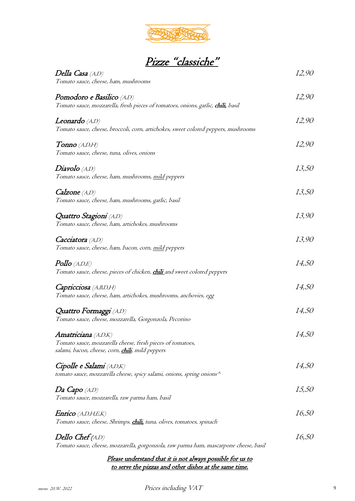

| Pizze "classiche" |  |  |
|-------------------|--|--|
|                   |  |  |

Della Casa (A,D) 12,90 Tomato sauce, cheese, ham, mushrooms Pomodoro e Basilico (A,D) and 12,90 Tomato sauce, mozzarella, fresh pieces of tomatoes, onions, garlic, chili, basil  $Leonardo (A,D)$  12,90 Tomato sauce, cheese, broccoli, corn, artichokes, sweet colored peppers, mushrooms  $T$ onno (A,D,H)  $12,90$ Tomato sauce, cheese, tuna, olives, onions  $Diavolo$  (A,D)  $13,50$ Tomato sauce, cheese, ham, mushrooms, mild peppers  $Calzone(A,D)$  13,50 Tomato sauce, cheese, ham, mushrooms, garlic, basil Quattro Stagioni (A,D) 13,90 Tomato sauce, cheese, ham, artichokes, mushrooms  $Cacciatora (A,D)$  13,90 Tomato sauce, cheese, ham, bacon, corn, mild peppers  $Pollo$  (A,D,E)  $14,50$ Tomato sauce, cheese, pieces of chicken, *chili* and sweet colored peppers  $Capricciosa$  (A,B,D,H)  $14,50$ Tomato sauce, cheese, ham, artichokes, mushrooms, anchovies, egg Quattro Formaggi (A,D) 14,50 Tomato sauce, cheese, mozzarella, Gorgonzola, Pecorino Amatriciana (A,D,K) and the set of the set of the set of the set of the set of the set of the set of the set of the set of the set of the set of the set of the set of the set of the set of the set of the set of the set of Tomato sauce, mozzarella cheese, fresh pieces of tomatoes, salami, bacon, cheese, corn, chili, mild peppers Cipolle e Salami (A,D,K) 14,50 tomato sauce, mozzarella cheese, spicy salami, onions, spring onions $\wedge$  $Da \; Capo \; (A,D)$  15,50 Tomato sauce, mozzarella, raw parma ham, basil  $\textit{Enrico}$  (A,D,H,E,K)  $16,50$ Tomato sauce, cheese, Shrimps, *chili*, tuna, olives, tomatoes, spinach  $\textit{Dello Chef}(A,D)$  16,50 Tomato sauce, cheese, mozzarella, gorgonzola, raw parma ham, mascarpone cheese, basil

> Please understand that it is not always possible for us to to serve the pizzas and other dishes at the same time.

menu 20.W. 2022 Prices including VAT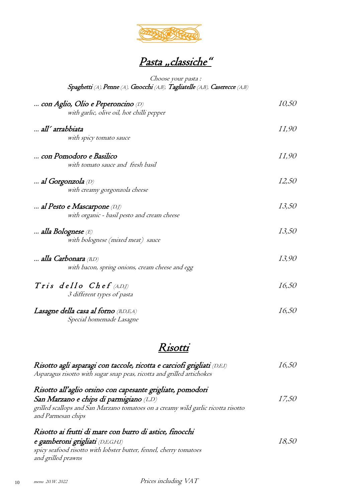

## Pasta "classiche"

#### Choose your pasta : Spaghetti (A), Penne (A), Gnocchi (A,B), Tagliatelle (A,B), Caserecce (A,B)

| con Aglio, Olio e Peperoncino (D)               | <i>10,50</i> |
|-------------------------------------------------|--------------|
| with garlic, olive oil, hot chilli pepper       |              |
| all' arrabbiata                                 | <i>II,90</i> |
| with spicy tomato sauce                         |              |
| con Pomodoro e Basilico                         | <i>II,90</i> |
| with tomato sauce and fresh basil               |              |
| al Gorgonzola (D)                               | 12,50        |
| with creamy gorgonzola cheese                   |              |
| al Pesto e Mascarpone (D,J)                     | 13,50        |
| with organic - basil pesto and cream cheese     |              |
| alla Bolognese (E)                              | 13,50        |
| with bolognese (mixed meat) sauce               |              |
| <b>alla Carbonara</b> (B,D)                     | 13,90        |
| with bacon, spring onions, cream cheese and egg |              |
| Tris dello Chef $(A,D)$                         | 16,50        |
| 3 different types of pasta                      |              |
| Lasagne della casa al forno (BD,EA)             | <i>16,50</i> |
| Special homemade Lasagne                        |              |

#### Risotti

| Risotto agli asparagi con taccole, ricotta e carciofi grigliati (D,E,I)<br>Asparagus risotto with sugar snap peas, ricotta and grilled artichokes | 16.50        |
|---------------------------------------------------------------------------------------------------------------------------------------------------|--------------|
| Risotto all'aglio orsino con capesante grigliate, pomodori                                                                                        |              |
| San Marzano e chips di parmigiano (LD)                                                                                                            | <i>17,50</i> |
| grilled scallops and San Marzano tomatoes on a creamy wild garlic ricotta risotto                                                                 |              |
| and Parmesan chips                                                                                                                                |              |
| Risotto ai frutti di mare con burro di astice, finocchi                                                                                           |              |
| e gamberoni grigliati (D,E,G,H,I)                                                                                                                 | 18.50        |
| spicy seafood risotto with lobster butter, fennel, cherry tomatoes                                                                                |              |
| and grilled prawns                                                                                                                                |              |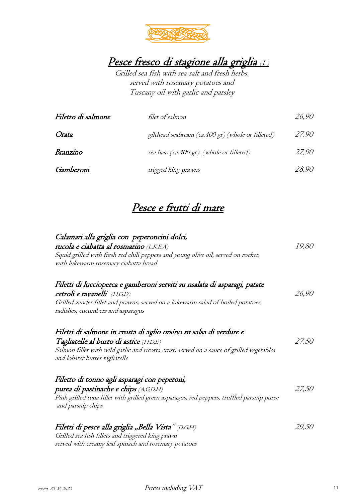

Pesce fresco di stagione alla griglia (L)

Grilled sea fish with sea salt and fresh herbs, served with rosemary potatoes and Tuscany oil with garlic and parsley

| Filetto di salmone | <i>filet of salmon</i>                            | 26,90 |
|--------------------|---------------------------------------------------|-------|
| Orata              | gilthead seabream (ca.400 gr) (whole or filleted) | 27,90 |
| Branzino           | sea bass (ca.400 gr) (whole or filleted)          | 27,90 |
| Gamberoni          | trigged king prawns                               | 28,90 |

### Pesce e frutti di mare

| Calamari alla griglia con peperoncini dolci,<br>rucola e ciabatta al rosmarino (L,K,E,A)<br>Squid grilled with fresh red chili peppers and young olive oil, served on rocket,<br>with lukewarm rosemary ciabatta bread                      | <i>19,80</i> |
|---------------------------------------------------------------------------------------------------------------------------------------------------------------------------------------------------------------------------------------------|--------------|
| Filetti di luccioperca e gamberoni serviti su nsalata di asparagi, patate<br>cetroli e ravanelli (H,G,D)<br>Grilled zander fillet and prawns, served on a lukewarm salad of boiled potatoes,<br>radishes, cucumbers and asparagus           | 26,90        |
| Filetti di salmone in crosta di aglio orsino su salsa di verdure e<br>Tagliatelle al burro di astice (H,D,E)<br>Salmon fillet with wild garlic and ricotta crust, served on a sauce of grilled vegetables<br>and lobster butter tagliatelle | 27,50        |
| Filetto di tonno agli asparagi con peperoni,<br>purea di pastinache e chips (A,G,D,H)<br>Pink grilled tuna fillet with grilled green asparagus, red peppers, truffled parsnip puree<br>and parsnip chips                                    | 27,50        |
| Filetti di pesce alla griglia "Bella Vista" (D,G,H)<br>Grilled sea fish fillets and triggered king prawn<br>served with creamy leaf spinach and rosemary potatoes                                                                           | 29,50        |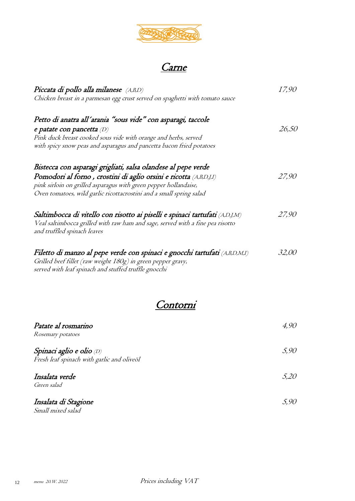

# <u>Carne</u>

| Piccata di pollo alla milanese (A,B,D)                                                                                                                                                                                                                                        | <i>17.90</i> |
|-------------------------------------------------------------------------------------------------------------------------------------------------------------------------------------------------------------------------------------------------------------------------------|--------------|
| Chicken breast in a parmesan egg crust served on spaghetti with tomato sauce                                                                                                                                                                                                  |              |
| Petto di anatra all'arania "sous vide" con asparagi, taccole<br>e patate con pancetta $(D)$<br>Pink duck breast cooked sous vide with orange and herbs, served<br>with spicy snow peas and asparagus and pancetta bacon fried potatoes                                        | 26,50        |
| Bistecca con asparagi grigliati, salsa olandese al pepe verde<br>Pomodori al forno, crostini di aglio orsini e ricotta (A,B,D,J,I)<br>pink sirloin on grilled asparagus with green pepper hollandaise,<br>Oven tomatoes, wild garlic ricottacrostini and a small spring salad | 27.90        |
| Saltimbocca di vitello con risotto ai piselli e spinaci tartufati (A,D,J,M)<br>Veal saltimbocca grilled with raw ham and sage, served with a fine pea risotto<br>and truffled spinach leaves                                                                                  | 27.90        |
| Filetto di manzo al pepe verde con spinaci e gnocchi tartufati (A,B,D,M,I)<br>Grilled beef fillet (raw weight 180g) in green pepper gravy,<br>served with leaf spinach and stuffed truffle gnocchi                                                                            | 32.00        |



| Patate al rosmarino                        | 4,90 |
|--------------------------------------------|------|
| Rosemary potatoes                          |      |
| Spinaci aglio e olio (D)                   | 5,90 |
| Fresh leaf spinach with garlic and oliveöl |      |
| Insalata verde                             | 5,20 |
| Green salad                                |      |
| Insalata di Stagione                       | 5,90 |
| Small mixed salad                          |      |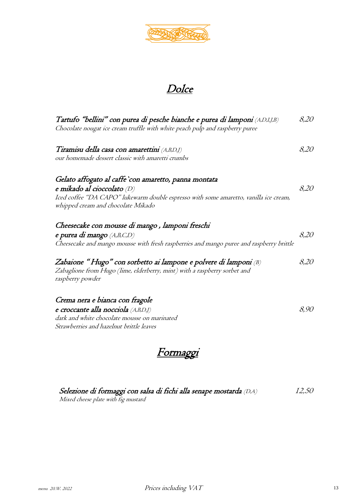

## **Dolce**

| Tartufo "bellini" con purea di pesche bianche e purea di lamponi (A,D,I,J,B)<br>Chocolate nougat ice cream truffle with white peach pulp and raspberry puree                                                       | 8,20 |
|--------------------------------------------------------------------------------------------------------------------------------------------------------------------------------------------------------------------|------|
| Tiramisu della casa con amarettini (A,B,D,J)<br>our homemade dessert classic with amaretti crumbs                                                                                                                  | 8,20 |
| Gelato affogato al caffe `con amaretto, panna montata<br>e mikado al cioccolato (D)<br>Iced coffee "DA CAPO" lukewarm double espresso with some amaretto, vanilla ice cream,<br>whipped cream and chocolate Mikado | 8,20 |
| Cheesecake con mousse di mango, lamponi freschi<br>e purea di mango (A,B,C,D)<br>Cheesecake and mango mousse with fresh raspberries and mango puree and raspberry brittle                                          | 8,20 |
| Zabaione "Hugo" con sorbetto ai lampone e polvere di lamponi (B)<br>Zabaglione from Hugo (lime, elderberry, mint) with a raspberry sorbet and<br>raspberry powder                                                  | 8,20 |
| Crema nera e bianca con fragole<br>e croccante alla nocciola (A,B,D,J)<br>dark and white chocolate mousse on marinated<br>Strawberries and hazelnut brittle leaves                                                 | 8,90 |



| Selezione di formaggi con salsa di fichi alla senape mostarda (D,A) | 12,50 |
|---------------------------------------------------------------------|-------|
| Mixed cheese plate with fig mustard                                 |       |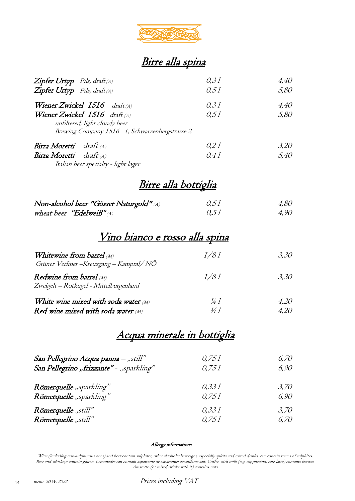

## Birre alla spina

| Zipfer Urtyp Pils, draft(A)<br>Zipfer Urtyp Pils, draft(A)                                                         | 0.31<br>0.51 | 4,40<br>5,80 |
|--------------------------------------------------------------------------------------------------------------------|--------------|--------------|
| Wiener Zwickel 1516 $dr$ aft $(A)$                                                                                 | 0.31         | 4,40         |
| Wiener Zwickel $1516$ draft (A)<br>unfiltered, light cloudy beer<br>Brewing Company 1516 1, Schwarzenbergstrasse 2 | 0.51         | 5,80         |
| <b>Birra Moretti</b> draft (A)                                                                                     | 0.21         | 3,20         |
| Birra Moretti draft (A)<br>Italian beer specialty - light lager                                                    | 0.41         | 5,40         |

## Birre alla bottiglia

| Non-alcohol beer "Gösser Naturgold" (A) | 0.51 | 4,80 |
|-----------------------------------------|------|------|
| wheat beer "Edelweiß" $_{(A)}$          | 0.51 | 4,90 |

### Vino bianco e rosso alla spina

| Whitewine from barrel $\omega$<br>Grüner Vetliner – Kreuzgang – Kamptal/NÖ | 1/81 | 3.30 |
|----------------------------------------------------------------------------|------|------|
| Redwine from barrel (M)<br>Zweigelt - Rotkugel - Mittelburgenland          | I/8I | 3,30 |
| White wine mixed with soda water $\omega$                                  | ¼ 1  | 4.20 |
| Red wine mixed with soda water $\mathcal{M}$                               | 14 1 | 4,20 |

### Acqua minerale in bottiglia

| San Pellegrino Acqua panna – "still"     | 0.751 | 6.70 |
|------------------------------------------|-------|------|
| San Pellegrino "frizzante" - "sparkling" | 0.751 | 6,90 |
| Römerquelle "sparkling"                  | 0.331 | 3.70 |
| Römerquelle "sparkling"                  | 0.751 | 6,90 |
| Römerquelle "still"                      | 0.331 | 3.70 |
| Römerquelle "still"                      | 0.751 | 6.70 |

#### Allergy informations

Wine (including non-sulphurous ones) and beer contain sulphites, other alcoholic beverages, especially spirits and mixed drinks, can contain traces of sulphites. Beer and whiskeys contain gluten. Lemonades can contain aspartame or aspartame: acesulfame salt. Coffee with milk (e.g. cappuccino, cafe latte) contains lactose. Amaretto (or mixed drinks with it) contains nuts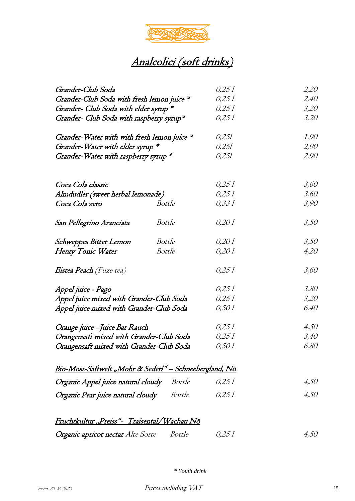

| Grander-Club Soda                                                        |                                           | 0,25 1               | 2,20 |
|--------------------------------------------------------------------------|-------------------------------------------|----------------------|------|
| Grander-Club Soda with fresh lemon juice *                               | 0,251<br>0,251<br>0,251<br>0,251<br>0,251 | 2,40                 |      |
| Grander- Club Soda with elder syrup *                                    |                                           | 3,20                 |      |
| Grander- Club Soda with raspberry syrup*                                 |                                           | 3,20                 |      |
| Grander-Water with with fresh lemon juice *                              |                                           | <i>I</i> ,90<br>2,90 |      |
| Grander-Water with elder syrup *<br>Grander-Water with raspberry syrup * |                                           |                      |      |
|                                                                          |                                           | 0,251                | 2,90 |
|                                                                          |                                           |                      |      |
| Coca Cola classic                                                        |                                           | 0,251                | 3,60 |
| Almdudler (sweet herbal lemonade)                                        |                                           | 0,25 1               | 3,60 |
| Coca Cola zero                                                           | <b>Bottle</b>                             | 0,331                | 3,90 |
| San Pellegrino Aranciata                                                 | Bottle                                    | 0,20 1               | 3,50 |
| <b>Schweppes Bitter Lemon</b>                                            | Bottle                                    | 0,201                | 3,50 |
| Henry Tonic Water                                                        | <b>Bottle</b>                             | 0,201                | 4,20 |
| <i>Eistea Peach (Fuze tea)</i>                                           |                                           | 0,251                | 3,60 |
| Appel juice - Pago                                                       |                                           | 0,251                | 3,80 |
| Appel juice mixed with Grander-Club Soda                                 | 0,251                                     | 3,20                 |      |
| Appel juice mixed with Grander-Club Soda                                 |                                           | 0,50 1               | 6,40 |
| Orange juice -Juice Bar Rauch                                            |                                           | 0,25 1               | 4,50 |
| Orangensaft mixed with Grander-Club Soda                                 | 0,25 1                                    | 3,40                 |      |
| Orangensaft mixed with Grander-Club Soda                                 |                                           | 0,50 1               | 6,80 |
| <u> Bio-Most-Saftwelt "Mohr &amp; Sederl" – Schneebergland, Nö</u>       |                                           |                      |      |
| Organic Appel juice natural cloudy<br>Bottle                             |                                           | 0,25 1               | 4,50 |
| Organic Pear juice natural cloudy                                        | Bottle                                    | 0.251                | 4,50 |
| <u>Fruchtkultur "Preiss"-  Traisental/Wachau Nö</u>                      |                                           |                      |      |

| Organic apricot nectar Alte Sorte | Bottle | 0,25 1 | 4,50 |
|-----------------------------------|--------|--------|------|
|                                   |        |        |      |

*\* Youth drink*